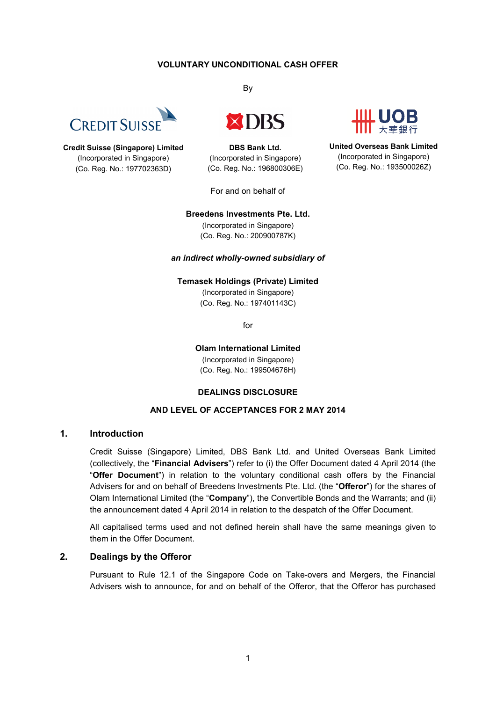#### **VOLUNTARY UNCONDITIONAL CASH OFFER**



**Credit Suisse (Singapore) Limited** (Incorporated in Singapore) (Co. Reg. No.: 197702363D)

By



**DBS Bank Ltd.** (Incorporated in Singapore) (Co. Reg. No.: 196800306E)

For and on behalf of

**United Overseas Bank Limited** (Incorporated in Singapore) (Co. Reg. No.: 193500026Z)

#### **Breedens Investments Pte. Ltd.**

(Incorporated in Singapore) (Co. Reg. No.: 200900787K)

#### *an indirect wholly-owned subsidiary of*

# **Temasek Holdings (Private) Limited**

(Incorporated in Singapore) (Co. Reg. No.: 197401143C)

for

**Olam International Limited** (Incorporated in Singapore) (Co. Reg. No.: 199504676H)

#### **DEALINGS DISCLOSURE**

#### **AND LEVEL OF ACCEPTANCES FOR 2 MAY 2014**

## **1. Introduction**

Credit Suisse (Singapore) Limited, DBS Bank Ltd. and United Overseas Bank Limited (collectively, the "**Financial Advisers**") refer to (i) the Offer Document dated 4 April 2014 (the "**Offer Document**") in relation to the voluntary conditional cash offers by the Financial Advisers for and on behalf of Breedens Investments Pte. Ltd. (the "**Offeror**") for the shares of Olam International Limited (the "**Company**"), the Convertible Bonds and the Warrants; and (ii) the announcement dated 4 April 2014 in relation to the despatch of the Offer Document.

All capitalised terms used and not defined herein shall have the same meanings given to them in the Offer Document.

### **2. Dealings by the Offeror**

Pursuant to Rule 12.1 of the Singapore Code on Take-overs and Mergers, the Financial Advisers wish to announce, for and on behalf of the Offeror, that the Offeror has purchased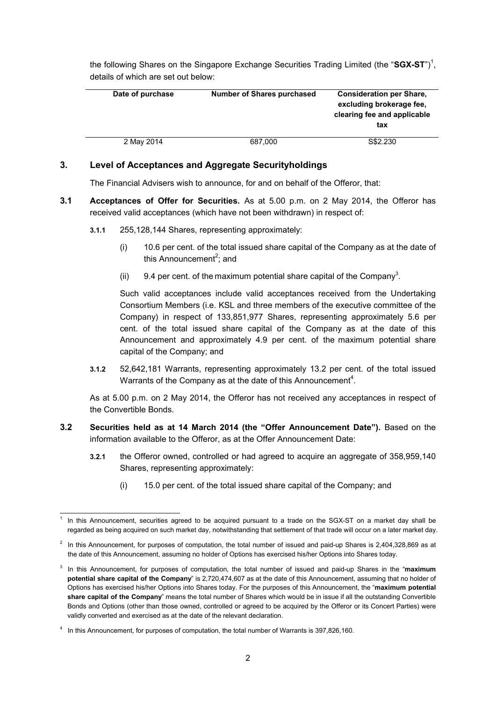the following Shares on the Singapore Exchange Securities Trading Limited (the "SGX-ST")<sup>1</sup>, details of which are set out below:

| Date of purchase | <b>Number of Shares purchased</b> | <b>Consideration per Share,</b><br>excluding brokerage fee.<br>clearing fee and applicable<br>tax |
|------------------|-----------------------------------|---------------------------------------------------------------------------------------------------|
| 2 May 2014       | 687,000                           | S\$2,230                                                                                          |

## **3. Level of Acceptances and Aggregate Securityholdings**

The Financial Advisers wish to announce, for and on behalf of the Offeror, that:

- **3.1 Acceptances of Offer for Securities.** As at 5.00 p.m. on 2 May 2014, the Offeror has received valid acceptances (which have not been withdrawn) in respect of:
	- **3.1.1** 255,128,144 Shares, representing approximately:
		- (i) 10.6 per cent. of the total issued share capital of the Company as at the date of this Announcement<sup>2</sup>; and
		- (ii) 9.4 per cent. of the maximum potential share capital of the Company<sup>3</sup>.

Such valid acceptances include valid acceptances received from the Undertaking Consortium Members (i.e. KSL and three members of the executive committee of the Company) in respect of 133,851,977 Shares, representing approximately 5.6 per cent. of the total issued share capital of the Company as at the date of this Announcement and approximately 4.9 per cent. of the maximum potential share capital of the Company; and

**3.1.2** 52,642,181 Warrants, representing approximately 13.2 per cent. of the total issued Warrants of the Company as at the date of this Announcement<sup>4</sup>.

As at 5.00 p.m. on 2 May 2014, the Offeror has not received any acceptances in respect of the Convertible Bonds.

- **3.2 Securities held as at 14 March 2014 (the "Offer Announcement Date").** Based on the information available to the Offeror, as at the Offer Announcement Date:
	- **3.2.1** the Offeror owned, controlled or had agreed to acquire an aggregate of 358,959,140 Shares, representing approximately:
		- (i) 15.0 per cent. of the total issued share capital of the Company; and

<sup>-</sup>1 In this Announcement, securities agreed to be acquired pursuant to a trade on the SGX-ST on a market day shall be regarded as being acquired on such market day, notwithstanding that settlement of that trade will occur on a later market day.

 $2$  In this Announcement, for purposes of computation, the total number of issued and paid-up Shares is 2,404,328,869 as at the date of this Announcement, assuming no holder of Options has exercised his/her Options into Shares today.

<sup>3</sup> In this Announcement, for purposes of computation, the total number of issued and paid-up Shares in the "**maximum potential share capital of the Company**" is 2,720,474,607 as at the date of this Announcement, assuming that no holder of Options has exercised his/her Options into Shares today. For the purposes of this Announcement, the "**maximum potential share capital of the Company**" means the total number of Shares which would be in issue if all the outstanding Convertible Bonds and Options (other than those owned, controlled or agreed to be acquired by the Offeror or its Concert Parties) were validly converted and exercised as at the date of the relevant declaration.

<sup>4</sup> In this Announcement, for purposes of computation, the total number of Warrants is 397,826,160.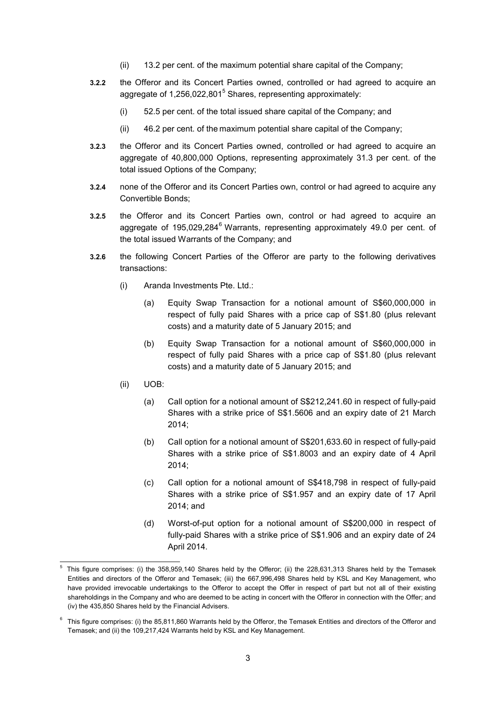- (ii) 13.2 per cent. of the maximum potential share capital of the Company;
- **3.2.2** the Offeror and its Concert Parties owned, controlled or had agreed to acquire an aggregate of 1,256,022,801<sup>5</sup> Shares, representing approximately:
	- (i) 52.5 per cent. of the total issued share capital of the Company; and
	- (ii) 46.2 per cent. of the maximum potential share capital of the Company;
- **3.2.3** the Offeror and its Concert Parties owned, controlled or had agreed to acquire an aggregate of 40,800,000 Options, representing approximately 31.3 per cent. of the total issued Options of the Company;
- **3.2.4** none of the Offeror and its Concert Parties own, control or had agreed to acquire any Convertible Bonds;
- **3.2.5** the Offeror and its Concert Parties own, control or had agreed to acquire an aggregate of 195,029,284<sup>6</sup> Warrants, representing approximately 49.0 per cent. of the total issued Warrants of the Company; and
- **3.2.6** the following Concert Parties of the Offeror are party to the following derivatives transactions:
	- (i) Aranda Investments Pte. Ltd.:
		- (a) Equity Swap Transaction for a notional amount of S\$60,000,000 in respect of fully paid Shares with a price cap of S\$1.80 (plus relevant costs) and a maturity date of 5 January 2015; and
		- (b) Equity Swap Transaction for a notional amount of S\$60,000,000 in respect of fully paid Shares with a price cap of S\$1.80 (plus relevant costs) and a maturity date of 5 January 2015; and
	- (ii) UOB:
		- (a) Call option for a notional amount of S\$212,241.60 in respect of fully-paid Shares with a strike price of S\$1.5606 and an expiry date of 21 March 2014;
		- (b) Call option for a notional amount of S\$201,633.60 in respect of fully-paid Shares with a strike price of S\$1.8003 and an expiry date of 4 April 2014;
		- (c) Call option for a notional amount of S\$418,798 in respect of fully-paid Shares with a strike price of S\$1.957 and an expiry date of 17 April 2014; and
		- (d) Worst-of-put option for a notional amount of S\$200,000 in respect of fully-paid Shares with a strike price of S\$1.906 and an expiry date of 24 April 2014.

<sup>-</sup>5 This figure comprises: (i) the 358,959,140 Shares held by the Offeror; (ii) the 228,631,313 Shares held by the Temasek Entities and directors of the Offeror and Temasek; (iii) the 667,996,498 Shares held by KSL and Key Management, who have provided irrevocable undertakings to the Offeror to accept the Offer in respect of part but not all of their existing shareholdings in the Company and who are deemed to be acting in concert with the Offeror in connection with the Offer; and (iv) the 435,850 Shares held by the Financial Advisers.

 $6$  This figure comprises: (i) the 85,811,860 Warrants held by the Offeror, the Temasek Entities and directors of the Offeror and Temasek; and (ii) the 109,217,424 Warrants held by KSL and Key Management.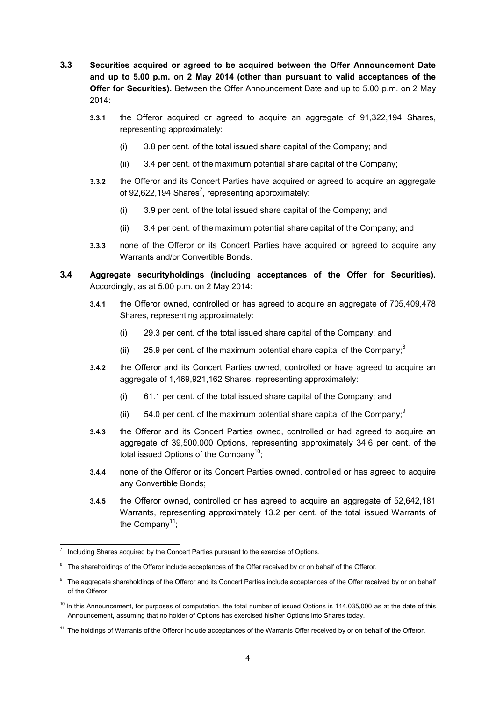- **3.3 Securities acquired or agreed to be acquired between the Offer Announcement Date and up to 5.00 p.m. on 2 May 2014 (other than pursuant to valid acceptances of the Offer for Securities).** Between the Offer Announcement Date and up to 5.00 p.m. on 2 May 2014:
	- **3.3.1** the Offeror acquired or agreed to acquire an aggregate of 91,322,194 Shares, representing approximately:
		- (i) 3.8 per cent. of the total issued share capital of the Company; and
		- (ii) 3.4 per cent. of the maximum potential share capital of the Company;
	- **3.3.2** the Offeror and its Concert Parties have acquired or agreed to acquire an aggregate of 92,622,194 Shares<sup>7</sup>, representing approximately:
		- (i) 3.9 per cent. of the total issued share capital of the Company; and
		- (ii) 3.4 per cent. of the maximum potential share capital of the Company; and
	- **3.3.3** none of the Offeror or its Concert Parties have acquired or agreed to acquire any Warrants and/or Convertible Bonds.
- **3.4 Aggregate securityholdings (including acceptances of the Offer for Securities).**  Accordingly, as at 5.00 p.m. on 2 May 2014:
	- **3.4.1** the Offeror owned, controlled or has agreed to acquire an aggregate of 705,409,478 Shares, representing approximately:
		- (i) 29.3 per cent. of the total issued share capital of the Company; and
		- (ii) 25.9 per cent. of the maximum potential share capital of the Company, ${}^{8}$
	- **3.4.2** the Offeror and its Concert Parties owned, controlled or have agreed to acquire an aggregate of 1,469,921,162 Shares, representing approximately:
		- (i) 61.1 per cent. of the total issued share capital of the Company; and
		- (ii)  $54.0$  per cent. of the maximum potential share capital of the Company,  $9$
	- **3.4.3** the Offeror and its Concert Parties owned, controlled or had agreed to acquire an aggregate of 39,500,000 Options, representing approximately 34.6 per cent. of the total issued Options of the Company<sup>10</sup>:
	- **3.4.4** none of the Offeror or its Concert Parties owned, controlled or has agreed to acquire any Convertible Bonds;
	- **3.4.5** the Offeror owned, controlled or has agreed to acquire an aggregate of 52,642,181 Warrants, representing approximately 13.2 per cent. of the total issued Warrants of the Company<sup>11</sup>:

-

<sup>7</sup> Including Shares acquired by the Concert Parties pursuant to the exercise of Options.

<sup>8</sup> The shareholdings of the Offeror include acceptances of the Offer received by or on behalf of the Offeror.

<sup>&</sup>lt;sup>9</sup> The aggregate shareholdings of the Offeror and its Concert Parties include acceptances of the Offer received by or on behalf of the Offeror.

 $10$  In this Announcement, for purposes of computation, the total number of issued Options is 114,035,000 as at the date of this Announcement, assuming that no holder of Options has exercised his/her Options into Shares today.

<sup>&</sup>lt;sup>11</sup> The holdings of Warrants of the Offeror include acceptances of the Warrants Offer received by or on behalf of the Offeror.